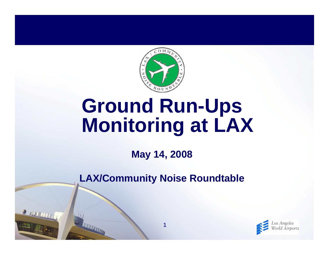

# **Ground Run-Ups Monitoring at LAX**

**May 14, 2008**

**LAX/Community Noise Roundtable**

**1**

R INVENTIT

THE REAL PROPERTY AND INCOME.

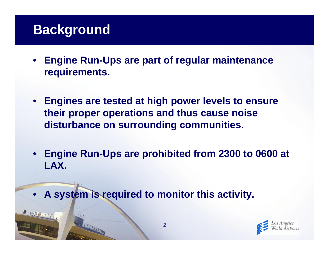#### **Background**

R NUTTITI

- • **Engine Run-Ups are part of regular maintenance requirements.**
- **Engines are tested at high power levels to ensure their proper operations and thus cause noise disturbance on surrounding communities.**
- **Engine Run-Ups are prohibited from 2300 to 0600 at LAX.**
- $\bullet$ **A system is required to monitor this activity.**

**TELEVISION** 

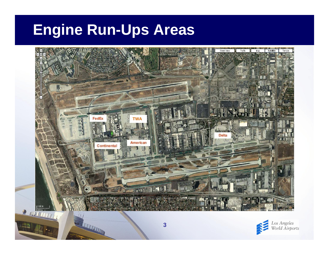## **Engine Run-Ups Areas**



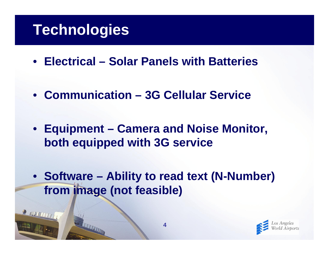## **Technologies**

R MULTITT

- **Electrical – Solar Panels with Batteries**
- **Communication – 3G Cellular Service**
- **Equipment – Camera and Noise Monitor, both equipped with 3G service**
- **Software – Ability to read text (N-Number) from image (not feasible)**

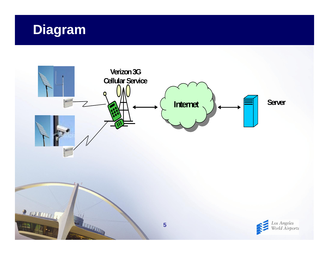## **Diagram**

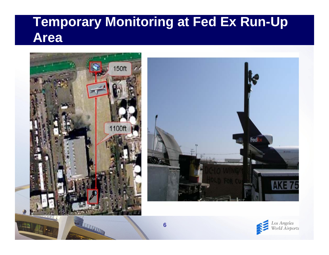## **Temporary Monitoring at Fed Ex Run-Up Area**





THE TELEVISION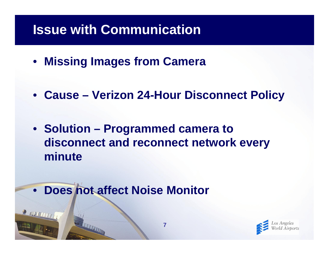#### **Issue with Communication**

- **Missing Images from Camera**
- **Cause – Verizon 24-Hour Disconnect Policy**
- **Solution – Programmed camera to disconnect and reconnect network every minute**
- **Does not affect Noise Monitor**

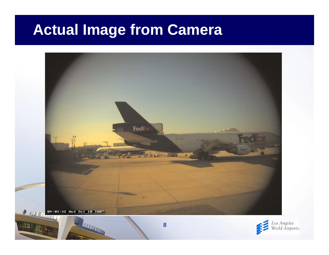## **Actual Image from Camera**



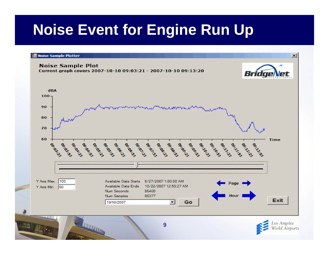## **Noise Event for Engine Run Up**

#### **Noise Sample Plotter**





 $\vert x \vert$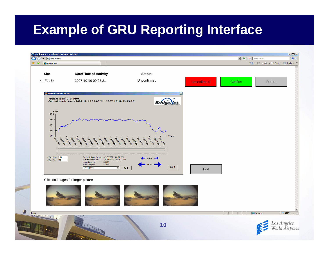#### **Example of GRU Reporting Interface**

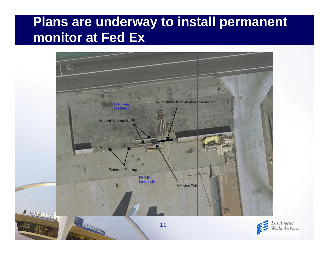## **Plans are underway to install permanent monitor at Fed Ex**



.<br>os Angeles<br>Vorld Airports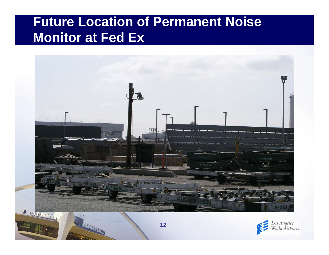## **Future Location of Permanent Noise Monitor at Fed Ex**





THE REAL PROPERTY AND INCOME.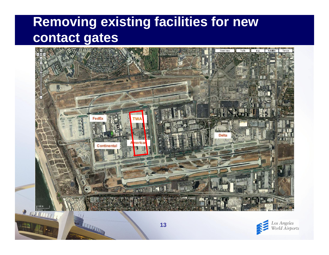## **Removing existing facilities for new contact gates**





**REAL PROPERTY AND**